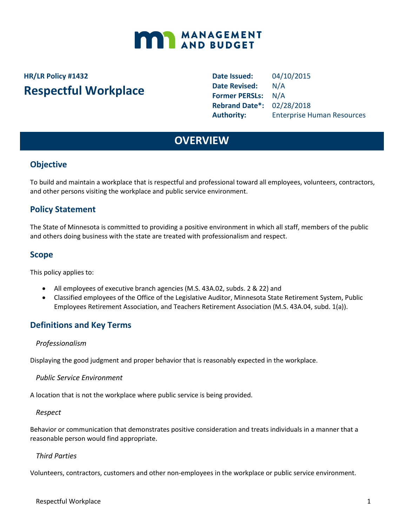

# **HR/LR Policy #1432 Respectful Workplace**

**Date Issued:** 04/10/2015 **Date Revised:** N/A **Former PERSLs:** N/A **Rebrand Date\*:** 02/28/2018 **Authority:** Enterprise Human Resources

## **OVERVIEW**

## **Objective**

To build and maintain a workplace that is respectful and professional toward all employees, volunteers, contractors, and other persons visiting the workplace and public service environment.

### **Policy Statement**

The State of Minnesota is committed to providing a positive environment in which all staff, members of the public and others doing business with the state are treated with professionalism and respect.

#### **Scope**

This policy applies to:

- All employees of executive branch agencies (M.S. 43A.02, subds. 2 & 22) and
- Classified employees of the Office of the Legislative Auditor, Minnesota State Retirement System, Public Employees Retirement Association, and Teachers Retirement Association (M.S. 43A.04, subd. 1(a)).

## **Definitions and Key Terms**

#### *Professionalism*

Displaying the good judgment and proper behavior that is reasonably expected in the workplace.

*Public Service Environment*

A location that is not the workplace where public service is being provided.

#### *Respect*

Behavior or communication that demonstrates positive consideration and treats individuals in a manner that a reasonable person would find appropriate.

#### *Third Parties*

Volunteers, contractors, customers and other non-employees in the workplace or public service environment.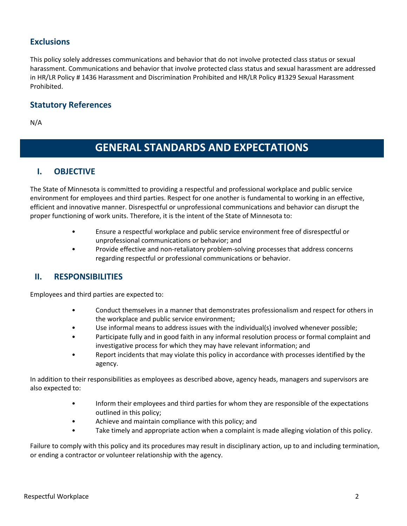### **Exclusions**

This policy solely addresses communications and behavior that do not involve protected class status or sexual harassment. Communications and behavior that involve protected class status and sexual harassment are addressed in HR/LR Policy # 1436 Harassment and Discrimination Prohibited and HR/LR Policy #1329 Sexual Harassment Prohibited.

#### **Statutory References**

N/A

## **GENERAL STANDARDS AND EXPECTATIONS**

#### **I. OBJECTIVE**

The State of Minnesota is committed to providing a respectful and professional workplace and public service environment for employees and third parties. Respect for one another is fundamental to working in an effective, efficient and innovative manner. Disrespectful or unprofessional communications and behavior can disrupt the proper functioning of work units. Therefore, it is the intent of the State of Minnesota to:

- Ensure a respectful workplace and public service environment free of disrespectful or unprofessional communications or behavior; and
- Provide effective and non-retaliatory problem-solving processes that address concerns regarding respectful or professional communications or behavior.

#### **II. RESPONSIBILITIES**

Employees and third parties are expected to:

- Conduct themselves in a manner that demonstrates professionalism and respect for others in the workplace and public service environment;
- Use informal means to address issues with the individual(s) involved whenever possible;
- Participate fully and in good faith in any informal resolution process or formal complaint and investigative process for which they may have relevant information; and
- Report incidents that may violate this policy in accordance with processes identified by the agency.

In addition to their responsibilities as employees as described above, agency heads, managers and supervisors are also expected to:

- Inform their employees and third parties for whom they are responsible of the expectations outlined in this policy;
- Achieve and maintain compliance with this policy; and
- Take timely and appropriate action when a complaint is made alleging violation of this policy.

Failure to comply with this policy and its procedures may result in disciplinary action, up to and including termination, or ending a contractor or volunteer relationship with the agency.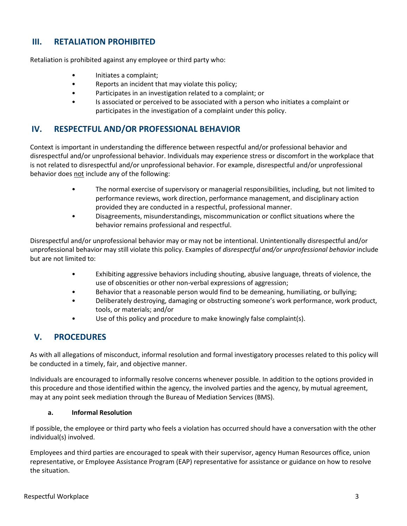### **III. RETALIATION PROHIBITED**

Retaliation is prohibited against any employee or third party who:

- Initiates a complaint;
- Reports an incident that may violate this policy;
- Participates in an investigation related to a complaint; or
- Is associated or perceived to be associated with a person who initiates a complaint or participates in the investigation of a complaint under this policy.

## **IV. RESPECTFUL AND/OR PROFESSIONAL BEHAVIOR**

Context is important in understanding the difference between respectful and/or professional behavior and disrespectful and/or unprofessional behavior. Individuals may experience stress or discomfort in the workplace that is not related to disrespectful and/or unprofessional behavior. For example, disrespectful and/or unprofessional behavior does not include any of the following:

- The normal exercise of supervisory or managerial responsibilities, including, but not limited to performance reviews, work direction, performance management, and disciplinary action provided they are conducted in a respectful, professional manner.
- Disagreements, misunderstandings, miscommunication or conflict situations where the behavior remains professional and respectful.

Disrespectful and/or unprofessional behavior may or may not be intentional. Unintentionally disrespectful and/or unprofessional behavior may still violate this policy. Examples of *disrespectful and/or unprofessional behavior* include but are not limited to:

- Exhibiting aggressive behaviors including shouting, abusive language, threats of violence, the use of obscenities or other non-verbal expressions of aggression;
- Behavior that a reasonable person would find to be demeaning, humiliating, or bullying;
- Deliberately destroying, damaging or obstructing someone's work performance, work product, tools, or materials; and/or
- Use of this policy and procedure to make knowingly false complaint(s).

### **V. PROCEDURES**

As with all allegations of misconduct, informal resolution and formal investigatory processes related to this policy will be conducted in a timely, fair, and objective manner.

Individuals are encouraged to informally resolve concerns whenever possible. In addition to the options provided in this procedure and those identified within the agency, the involved parties and the agency, by mutual agreement, may at any point seek mediation through the Bureau of Mediation Services (BMS).

#### **a. Informal Resolution**

If possible, the employee or third party who feels a violation has occurred should have a conversation with the other individual(s) involved.

Employees and third parties are encouraged to speak with their supervisor, agency Human Resources office, union representative, or Employee Assistance Program (EAP) representative for assistance or guidance on how to resolve the situation.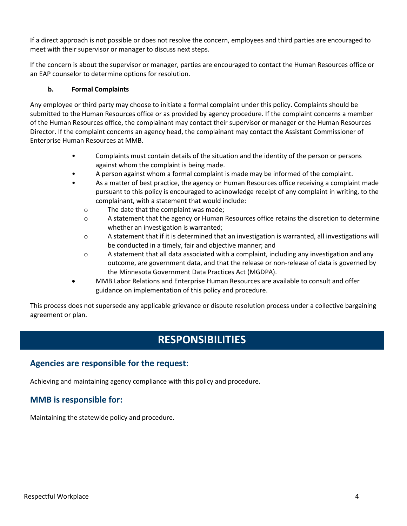If a direct approach is not possible or does not resolve the concern, employees and third parties are encouraged to meet with their supervisor or manager to discuss next steps.

If the concern is about the supervisor or manager, parties are encouraged to contact the Human Resources office or an EAP counselor to determine options for resolution.

#### **b. Formal Complaints**

Any employee or third party may choose to initiate a formal complaint under this policy. Complaints should be submitted to the Human Resources office or as provided by agency procedure. If the complaint concerns a member of the Human Resources office, the complainant may contact their supervisor or manager or the Human Resources Director. If the complaint concerns an agency head, the complainant may contact the Assistant Commissioner of Enterprise Human Resources at MMB.

- Complaints must contain details of the situation and the identity of the person or persons against whom the complaint is being made.
- A person against whom a formal complaint is made may be informed of the complaint.
- As a matter of best practice, the agency or Human Resources office receiving a complaint made pursuant to this policy is encouraged to acknowledge receipt of any complaint in writing, to the complainant, with a statement that would include:
	- o The date that the complaint was made;
	- $\circ$  A statement that the agency or Human Resources office retains the discretion to determine whether an investigation is warranted;
	- o A statement that if it is determined that an investigation is warranted, all investigations will be conducted in a timely, fair and objective manner; and
	- $\circ$  A statement that all data associated with a complaint, including any investigation and any outcome, are government data, and that the release or non-release of data is governed by the Minnesota Government Data Practices Act (MGDPA).
- MMB Labor Relations and Enterprise Human Resources are available to consult and offer guidance on implementation of this policy and procedure.

This process does not supersede any applicable grievance or dispute resolution process under a collective bargaining agreement or plan.

## **RESPONSIBILITIES**

#### **Agencies are responsible for the request:**

Achieving and maintaining agency compliance with this policy and procedure.

### **MMB is responsible for:**

Maintaining the statewide policy and procedure.